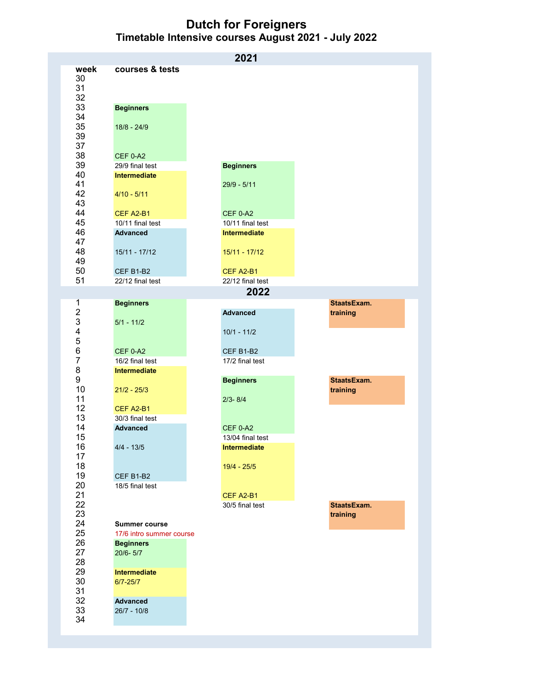**Dutch for Foreigners Timetable Intensive courses August 2021 - July 2022**